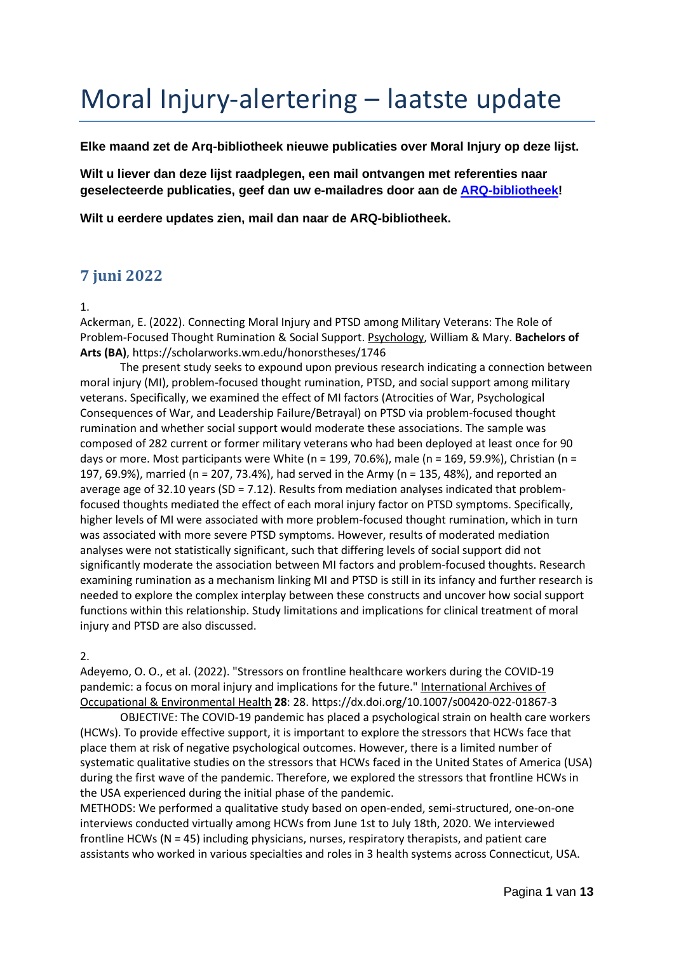# Moral Injury-alertering – laatste update

**Elke maand zet de Arq-bibliotheek nieuwe publicaties over Moral Injury op deze lijst.** 

**Wilt u liever dan deze lijst raadplegen, een mail ontvangen met referenties naar geselecteerde publicaties, geef dan uw e-mailadres door aan de [ARQ-bibliotheek!](mailto:bibliotheek@arq.org?subject=Ik%20wil%20mij%20abonneren%20op%20de%20alertering%20over%20Moral%20Injury)**

**Wilt u eerdere updates zien, mail dan naar de ARQ-bibliotheek.** 

# **7 juni 2022**

1.

Ackerman, E. (2022). Connecting Moral Injury and PTSD among Military Veterans: The Role of Problem-Focused Thought Rumination & Social Support. Psychology, William & Mary. **Bachelors of Arts (BA)**, https://scholarworks.wm.edu/honorstheses/1746

The present study seeks to expound upon previous research indicating a connection between moral injury (MI), problem-focused thought rumination, PTSD, and social support among military veterans. Specifically, we examined the effect of MI factors (Atrocities of War, Psychological Consequences of War, and Leadership Failure/Betrayal) on PTSD via problem-focused thought rumination and whether social support would moderate these associations. The sample was composed of 282 current or former military veterans who had been deployed at least once for 90 days or more. Most participants were White (n = 199, 70.6%), male (n = 169, 59.9%), Christian (n = 197, 69.9%), married (n = 207, 73.4%), had served in the Army (n = 135, 48%), and reported an average age of 32.10 years (SD = 7.12). Results from mediation analyses indicated that problemfocused thoughts mediated the effect of each moral injury factor on PTSD symptoms. Specifically, higher levels of MI were associated with more problem-focused thought rumination, which in turn was associated with more severe PTSD symptoms. However, results of moderated mediation analyses were not statistically significant, such that differing levels of social support did not significantly moderate the association between MI factors and problem-focused thoughts. Research examining rumination as a mechanism linking MI and PTSD is still in its infancy and further research is needed to explore the complex interplay between these constructs and uncover how social support functions within this relationship. Study limitations and implications for clinical treatment of moral injury and PTSD are also discussed.

2.

Adeyemo, O. O., et al. (2022). "Stressors on frontline healthcare workers during the COVID-19 pandemic: a focus on moral injury and implications for the future." International Archives of Occupational & Environmental Health **28**: 28. https://dx.doi.org/10.1007/s00420-022-01867-3

OBJECTIVE: The COVID-19 pandemic has placed a psychological strain on health care workers (HCWs). To provide effective support, it is important to explore the stressors that HCWs face that place them at risk of negative psychological outcomes. However, there is a limited number of systematic qualitative studies on the stressors that HCWs faced in the United States of America (USA) during the first wave of the pandemic. Therefore, we explored the stressors that frontline HCWs in the USA experienced during the initial phase of the pandemic.

METHODS: We performed a qualitative study based on open-ended, semi-structured, one-on-one interviews conducted virtually among HCWs from June 1st to July 18th, 2020. We interviewed frontline HCWs (N = 45) including physicians, nurses, respiratory therapists, and patient care assistants who worked in various specialties and roles in 3 health systems across Connecticut, USA.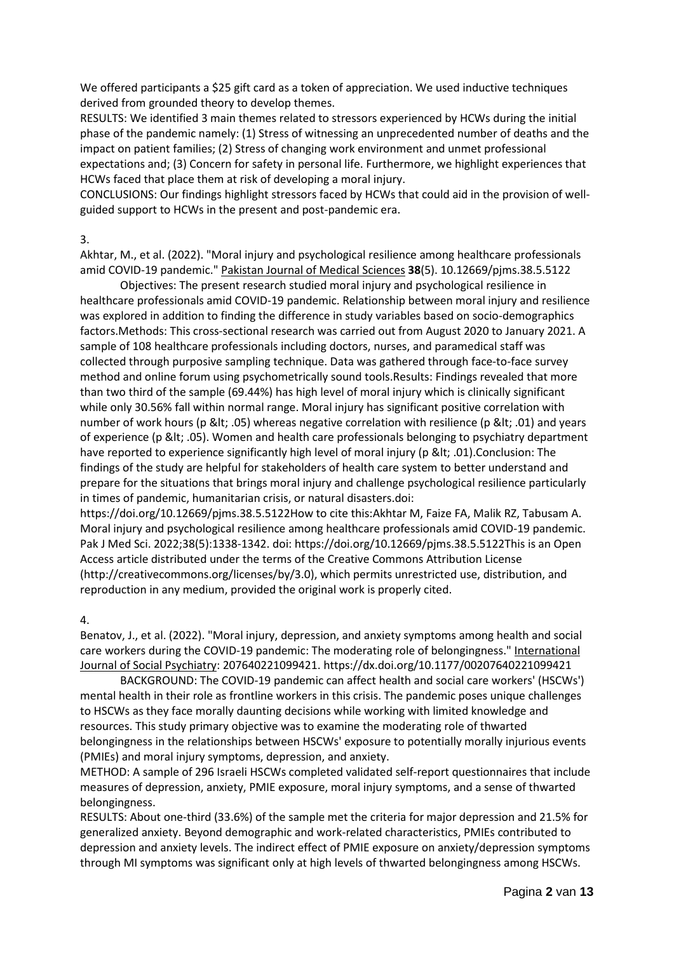We offered participants a \$25 gift card as a token of appreciation. We used inductive techniques derived from grounded theory to develop themes.

RESULTS: We identified 3 main themes related to stressors experienced by HCWs during the initial phase of the pandemic namely: (1) Stress of witnessing an unprecedented number of deaths and the impact on patient families; (2) Stress of changing work environment and unmet professional expectations and; (3) Concern for safety in personal life. Furthermore, we highlight experiences that HCWs faced that place them at risk of developing a moral injury.

CONCLUSIONS: Our findings highlight stressors faced by HCWs that could aid in the provision of wellguided support to HCWs in the present and post-pandemic era.

3.

Akhtar, M., et al. (2022). "Moral injury and psychological resilience among healthcare professionals amid COVID-19 pandemic." Pakistan Journal of Medical Sciences **38**(5). 10.12669/pjms.38.5.5122

Objectives: The present research studied moral injury and psychological resilience in healthcare professionals amid COVID-19 pandemic. Relationship between moral injury and resilience was explored in addition to finding the difference in study variables based on socio-demographics factors.Methods: This cross-sectional research was carried out from August 2020 to January 2021. A sample of 108 healthcare professionals including doctors, nurses, and paramedical staff was collected through purposive sampling technique. Data was gathered through face-to-face survey method and online forum using psychometrically sound tools.Results: Findings revealed that more than two third of the sample (69.44%) has high level of moral injury which is clinically significant while only 30.56% fall within normal range. Moral injury has significant positive correlation with number of work hours (p < .05) whereas negative correlation with resilience (p &lt; .01) and years of experience (p < .05). Women and health care professionals belonging to psychiatry department have reported to experience significantly high level of moral injury (p &It; .01). Conclusion: The findings of the study are helpful for stakeholders of health care system to better understand and prepare for the situations that brings moral injury and challenge psychological resilience particularly in times of pandemic, humanitarian crisis, or natural disasters.doi:

https://doi.org/10.12669/pjms.38.5.5122How to cite this:Akhtar M, Faize FA, Malik RZ, Tabusam A. Moral injury and psychological resilience among healthcare professionals amid COVID-19 pandemic. Pak J Med Sci. 2022;38(5):1338-1342. doi: https://doi.org/10.12669/pjms.38.5.5122This is an Open Access article distributed under the terms of the Creative Commons Attribution License (http://creativecommons.org/licenses/by/3.0), which permits unrestricted use, distribution, and reproduction in any medium, provided the original work is properly cited.

4.

Benatov, J., et al. (2022). "Moral injury, depression, and anxiety symptoms among health and social care workers during the COVID-19 pandemic: The moderating role of belongingness." International Journal of Social Psychiatry: 207640221099421. https://dx.doi.org/10.1177/00207640221099421

BACKGROUND: The COVID-19 pandemic can affect health and social care workers' (HSCWs') mental health in their role as frontline workers in this crisis. The pandemic poses unique challenges to HSCWs as they face morally daunting decisions while working with limited knowledge and resources. This study primary objective was to examine the moderating role of thwarted belongingness in the relationships between HSCWs' exposure to potentially morally injurious events (PMIEs) and moral injury symptoms, depression, and anxiety.

METHOD: A sample of 296 Israeli HSCWs completed validated self-report questionnaires that include measures of depression, anxiety, PMIE exposure, moral injury symptoms, and a sense of thwarted belongingness.

RESULTS: About one-third (33.6%) of the sample met the criteria for major depression and 21.5% for generalized anxiety. Beyond demographic and work-related characteristics, PMIEs contributed to depression and anxiety levels. The indirect effect of PMIE exposure on anxiety/depression symptoms through MI symptoms was significant only at high levels of thwarted belongingness among HSCWs.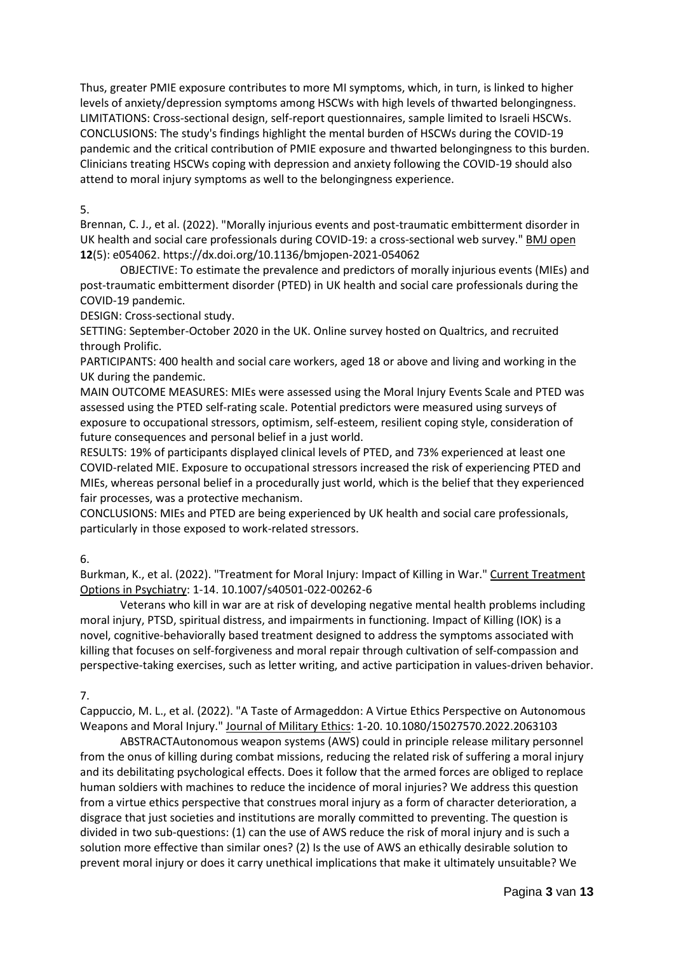Thus, greater PMIE exposure contributes to more MI symptoms, which, in turn, is linked to higher levels of anxiety/depression symptoms among HSCWs with high levels of thwarted belongingness. LIMITATIONS: Cross-sectional design, self-report questionnaires, sample limited to Israeli HSCWs. CONCLUSIONS: The study's findings highlight the mental burden of HSCWs during the COVID-19 pandemic and the critical contribution of PMIE exposure and thwarted belongingness to this burden. Clinicians treating HSCWs coping with depression and anxiety following the COVID-19 should also attend to moral injury symptoms as well to the belongingness experience.

#### 5.

Brennan, C. J., et al. (2022). "Morally injurious events and post-traumatic embitterment disorder in UK health and social care professionals during COVID-19: a cross-sectional web survey." BMJ open **12**(5): e054062. https://dx.doi.org/10.1136/bmjopen-2021-054062

OBJECTIVE: To estimate the prevalence and predictors of morally injurious events (MIEs) and post-traumatic embitterment disorder (PTED) in UK health and social care professionals during the COVID-19 pandemic.

DESIGN: Cross-sectional study.

SETTING: September-October 2020 in the UK. Online survey hosted on Qualtrics, and recruited through Prolific.

PARTICIPANTS: 400 health and social care workers, aged 18 or above and living and working in the UK during the pandemic.

MAIN OUTCOME MEASURES: MIEs were assessed using the Moral Injury Events Scale and PTED was assessed using the PTED self-rating scale. Potential predictors were measured using surveys of exposure to occupational stressors, optimism, self-esteem, resilient coping style, consideration of future consequences and personal belief in a just world.

RESULTS: 19% of participants displayed clinical levels of PTED, and 73% experienced at least one COVID-related MIE. Exposure to occupational stressors increased the risk of experiencing PTED and MIEs, whereas personal belief in a procedurally just world, which is the belief that they experienced fair processes, was a protective mechanism.

CONCLUSIONS: MIEs and PTED are being experienced by UK health and social care professionals, particularly in those exposed to work-related stressors.

6.

Burkman, K., et al. (2022). "Treatment for Moral Injury: Impact of Killing in War." Current Treatment Options in Psychiatry: 1-14. 10.1007/s40501-022-00262-6

Veterans who kill in war are at risk of developing negative mental health problems including moral injury, PTSD, spiritual distress, and impairments in functioning. Impact of Killing (IOK) is a novel, cognitive-behaviorally based treatment designed to address the symptoms associated with killing that focuses on self-forgiveness and moral repair through cultivation of self-compassion and perspective-taking exercises, such as letter writing, and active participation in values-driven behavior.

7.

Cappuccio, M. L., et al. (2022). "A Taste of Armageddon: A Virtue Ethics Perspective on Autonomous Weapons and Moral Injury." Journal of Military Ethics: 1-20. 10.1080/15027570.2022.2063103

ABSTRACTAutonomous weapon systems (AWS) could in principle release military personnel from the onus of killing during combat missions, reducing the related risk of suffering a moral injury and its debilitating psychological effects. Does it follow that the armed forces are obliged to replace human soldiers with machines to reduce the incidence of moral injuries? We address this question from a virtue ethics perspective that construes moral injury as a form of character deterioration, a disgrace that just societies and institutions are morally committed to preventing. The question is divided in two sub-questions: (1) can the use of AWS reduce the risk of moral injury and is such a solution more effective than similar ones? (2) Is the use of AWS an ethically desirable solution to prevent moral injury or does it carry unethical implications that make it ultimately unsuitable? We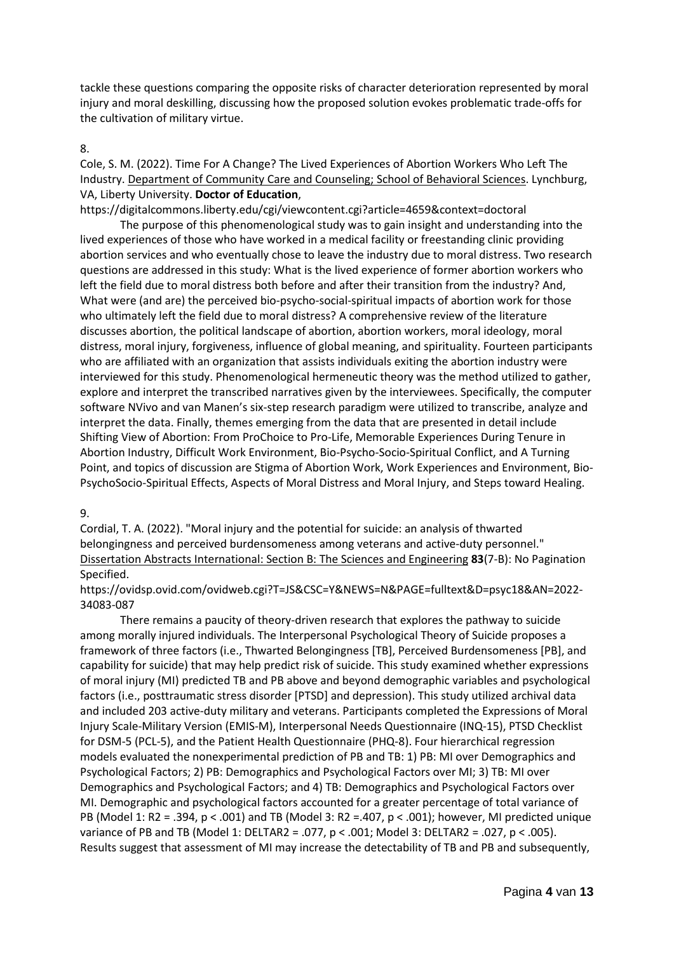tackle these questions comparing the opposite risks of character deterioration represented by moral injury and moral deskilling, discussing how the proposed solution evokes problematic trade-offs for the cultivation of military virtue.

#### 8.

Cole, S. M. (2022). Time For A Change? The Lived Experiences of Abortion Workers Who Left The Industry. Department of Community Care and Counseling; School of Behavioral Sciences. Lynchburg, VA, Liberty University. **Doctor of Education**,

https://digitalcommons.liberty.edu/cgi/viewcontent.cgi?article=4659&context=doctoral

The purpose of this phenomenological study was to gain insight and understanding into the lived experiences of those who have worked in a medical facility or freestanding clinic providing abortion services and who eventually chose to leave the industry due to moral distress. Two research questions are addressed in this study: What is the lived experience of former abortion workers who left the field due to moral distress both before and after their transition from the industry? And, What were (and are) the perceived bio-psycho-social-spiritual impacts of abortion work for those who ultimately left the field due to moral distress? A comprehensive review of the literature discusses abortion, the political landscape of abortion, abortion workers, moral ideology, moral distress, moral injury, forgiveness, influence of global meaning, and spirituality. Fourteen participants who are affiliated with an organization that assists individuals exiting the abortion industry were interviewed for this study. Phenomenological hermeneutic theory was the method utilized to gather, explore and interpret the transcribed narratives given by the interviewees. Specifically, the computer software NVivo and van Manen's six-step research paradigm were utilized to transcribe, analyze and interpret the data. Finally, themes emerging from the data that are presented in detail include Shifting View of Abortion: From ProChoice to Pro-Life, Memorable Experiences During Tenure in Abortion Industry, Difficult Work Environment, Bio-Psycho-Socio-Spiritual Conflict, and A Turning Point, and topics of discussion are Stigma of Abortion Work, Work Experiences and Environment, Bio-PsychoSocio-Spiritual Effects, Aspects of Moral Distress and Moral Injury, and Steps toward Healing.

#### 9.

Cordial, T. A. (2022). "Moral injury and the potential for suicide: an analysis of thwarted belongingness and perceived burdensomeness among veterans and active-duty personnel." Dissertation Abstracts International: Section B: The Sciences and Engineering **83**(7-B): No Pagination Specified.

https://ovidsp.ovid.com/ovidweb.cgi?T=JS&CSC=Y&NEWS=N&PAGE=fulltext&D=psyc18&AN=2022- 34083-087

There remains a paucity of theory-driven research that explores the pathway to suicide among morally injured individuals. The Interpersonal Psychological Theory of Suicide proposes a framework of three factors (i.e., Thwarted Belongingness [TB], Perceived Burdensomeness [PB], and capability for suicide) that may help predict risk of suicide. This study examined whether expressions of moral injury (MI) predicted TB and PB above and beyond demographic variables and psychological factors (i.e., posttraumatic stress disorder [PTSD] and depression). This study utilized archival data and included 203 active-duty military and veterans. Participants completed the Expressions of Moral Injury Scale-Military Version (EMIS-M), Interpersonal Needs Questionnaire (INQ-15), PTSD Checklist for DSM-5 (PCL-5), and the Patient Health Questionnaire (PHQ-8). Four hierarchical regression models evaluated the nonexperimental prediction of PB and TB: 1) PB: MI over Demographics and Psychological Factors; 2) PB: Demographics and Psychological Factors over MI; 3) TB: MI over Demographics and Psychological Factors; and 4) TB: Demographics and Psychological Factors over MI. Demographic and psychological factors accounted for a greater percentage of total variance of PB (Model 1: R2 = .394, p < .001) and TB (Model 3: R2 =.407, p < .001); however, MI predicted unique variance of PB and TB (Model 1: DELTAR2 = .077, p < .001; Model 3: DELTAR2 = .027, p < .005). Results suggest that assessment of MI may increase the detectability of TB and PB and subsequently,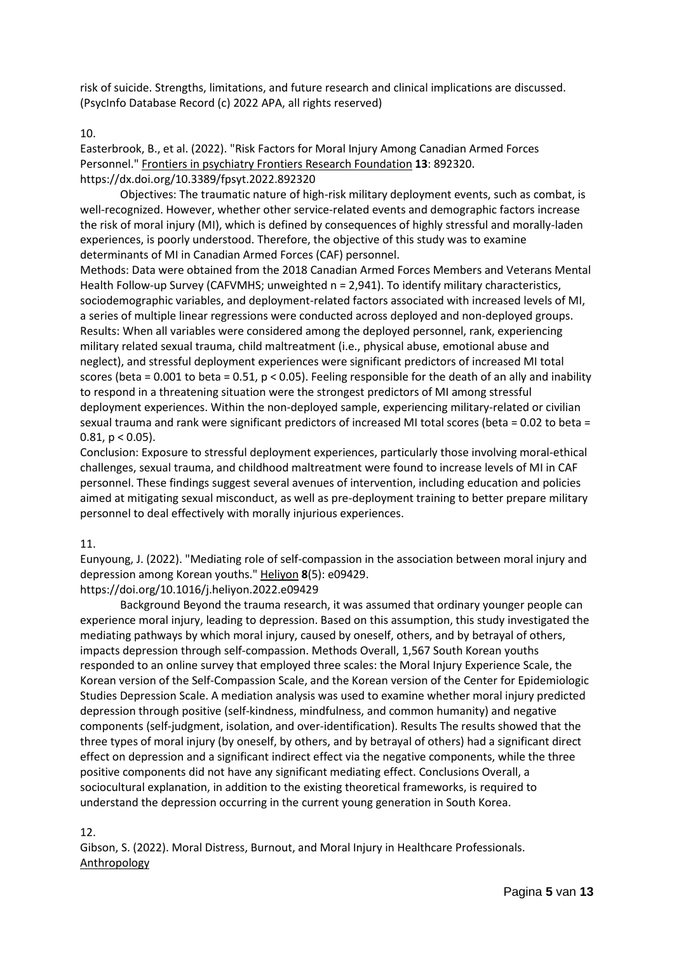risk of suicide. Strengths, limitations, and future research and clinical implications are discussed. (PsycInfo Database Record (c) 2022 APA, all rights reserved)

#### 10.

Easterbrook, B., et al. (2022). "Risk Factors for Moral Injury Among Canadian Armed Forces Personnel." Frontiers in psychiatry Frontiers Research Foundation **13**: 892320. https://dx.doi.org/10.3389/fpsyt.2022.892320

Objectives: The traumatic nature of high-risk military deployment events, such as combat, is well-recognized. However, whether other service-related events and demographic factors increase the risk of moral injury (MI), which is defined by consequences of highly stressful and morally-laden experiences, is poorly understood. Therefore, the objective of this study was to examine determinants of MI in Canadian Armed Forces (CAF) personnel.

Methods: Data were obtained from the 2018 Canadian Armed Forces Members and Veterans Mental Health Follow-up Survey (CAFVMHS; unweighted n = 2,941). To identify military characteristics, sociodemographic variables, and deployment-related factors associated with increased levels of MI, a series of multiple linear regressions were conducted across deployed and non-deployed groups. Results: When all variables were considered among the deployed personnel, rank, experiencing military related sexual trauma, child maltreatment (i.e., physical abuse, emotional abuse and neglect), and stressful deployment experiences were significant predictors of increased MI total scores (beta = 0.001 to beta = 0.51,  $p < 0.05$ ). Feeling responsible for the death of an ally and inability to respond in a threatening situation were the strongest predictors of MI among stressful deployment experiences. Within the non-deployed sample, experiencing military-related or civilian sexual trauma and rank were significant predictors of increased MI total scores (beta = 0.02 to beta = 0.81,  $p < 0.05$ ).

Conclusion: Exposure to stressful deployment experiences, particularly those involving moral-ethical challenges, sexual trauma, and childhood maltreatment were found to increase levels of MI in CAF personnel. These findings suggest several avenues of intervention, including education and policies aimed at mitigating sexual misconduct, as well as pre-deployment training to better prepare military personnel to deal effectively with morally injurious experiences.

#### 11.

Eunyoung, J. (2022). "Mediating role of self-compassion in the association between moral injury and depression among Korean youths." Heliyon **8**(5): e09429.

https://doi.org/10.1016/j.heliyon.2022.e09429

Background Beyond the trauma research, it was assumed that ordinary younger people can experience moral injury, leading to depression. Based on this assumption, this study investigated the mediating pathways by which moral injury, caused by oneself, others, and by betrayal of others, impacts depression through self-compassion. Methods Overall, 1,567 South Korean youths responded to an online survey that employed three scales: the Moral Injury Experience Scale, the Korean version of the Self-Compassion Scale, and the Korean version of the Center for Epidemiologic Studies Depression Scale. A mediation analysis was used to examine whether moral injury predicted depression through positive (self-kindness, mindfulness, and common humanity) and negative components (self-judgment, isolation, and over-identification). Results The results showed that the three types of moral injury (by oneself, by others, and by betrayal of others) had a significant direct effect on depression and a significant indirect effect via the negative components, while the three positive components did not have any significant mediating effect. Conclusions Overall, a sociocultural explanation, in addition to the existing theoretical frameworks, is required to understand the depression occurring in the current young generation in South Korea.

#### 12.

Gibson, S. (2022). Moral Distress, Burnout, and Moral Injury in Healthcare Professionals. Anthropology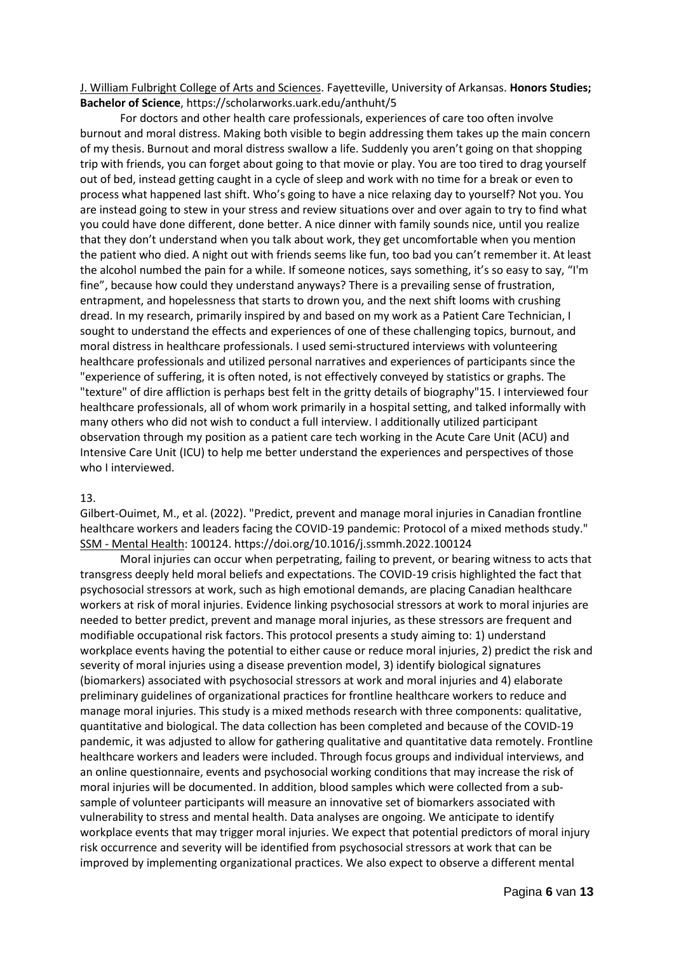#### J. William Fulbright College of Arts and Sciences. Fayetteville, University of Arkansas. **Honors Studies; Bachelor of Science**, https://scholarworks.uark.edu/anthuht/5

For doctors and other health care professionals, experiences of care too often involve burnout and moral distress. Making both visible to begin addressing them takes up the main concern of my thesis. Burnout and moral distress swallow a life. Suddenly you aren't going on that shopping trip with friends, you can forget about going to that movie or play. You are too tired to drag yourself out of bed, instead getting caught in a cycle of sleep and work with no time for a break or even to process what happened last shift. Who's going to have a nice relaxing day to yourself? Not you. You are instead going to stew in your stress and review situations over and over again to try to find what you could have done different, done better. A nice dinner with family sounds nice, until you realize that they don't understand when you talk about work, they get uncomfortable when you mention the patient who died. A night out with friends seems like fun, too bad you can't remember it. At least the alcohol numbed the pain for a while. If someone notices, says something, it's so easy to say, "I'm fine", because how could they understand anyways? There is a prevailing sense of frustration, entrapment, and hopelessness that starts to drown you, and the next shift looms with crushing dread. In my research, primarily inspired by and based on my work as a Patient Care Technician, I sought to understand the effects and experiences of one of these challenging topics, burnout, and moral distress in healthcare professionals. I used semi-structured interviews with volunteering healthcare professionals and utilized personal narratives and experiences of participants since the "experience of suffering, it is often noted, is not effectively conveyed by statistics or graphs. The "texture" of dire affliction is perhaps best felt in the gritty details of biography"15. I interviewed four healthcare professionals, all of whom work primarily in a hospital setting, and talked informally with many others who did not wish to conduct a full interview. I additionally utilized participant observation through my position as a patient care tech working in the Acute Care Unit (ACU) and Intensive Care Unit (ICU) to help me better understand the experiences and perspectives of those who I interviewed.

#### 13.

Gilbert-Ouimet, M., et al. (2022). "Predict, prevent and manage moral injuries in Canadian frontline healthcare workers and leaders facing the COVID-19 pandemic: Protocol of a mixed methods study." SSM - Mental Health: 100124. https://doi.org/10.1016/j.ssmmh.2022.100124

Moral injuries can occur when perpetrating, failing to prevent, or bearing witness to acts that transgress deeply held moral beliefs and expectations. The COVID-19 crisis highlighted the fact that psychosocial stressors at work, such as high emotional demands, are placing Canadian healthcare workers at risk of moral injuries. Evidence linking psychosocial stressors at work to moral injuries are needed to better predict, prevent and manage moral injuries, as these stressors are frequent and modifiable occupational risk factors. This protocol presents a study aiming to: 1) understand workplace events having the potential to either cause or reduce moral injuries, 2) predict the risk and severity of moral injuries using a disease prevention model, 3) identify biological signatures (biomarkers) associated with psychosocial stressors at work and moral injuries and 4) elaborate preliminary guidelines of organizational practices for frontline healthcare workers to reduce and manage moral injuries. This study is a mixed methods research with three components: qualitative, quantitative and biological. The data collection has been completed and because of the COVID-19 pandemic, it was adjusted to allow for gathering qualitative and quantitative data remotely. Frontline healthcare workers and leaders were included. Through focus groups and individual interviews, and an online questionnaire, events and psychosocial working conditions that may increase the risk of moral injuries will be documented. In addition, blood samples which were collected from a subsample of volunteer participants will measure an innovative set of biomarkers associated with vulnerability to stress and mental health. Data analyses are ongoing. We anticipate to identify workplace events that may trigger moral injuries. We expect that potential predictors of moral injury risk occurrence and severity will be identified from psychosocial stressors at work that can be improved by implementing organizational practices. We also expect to observe a different mental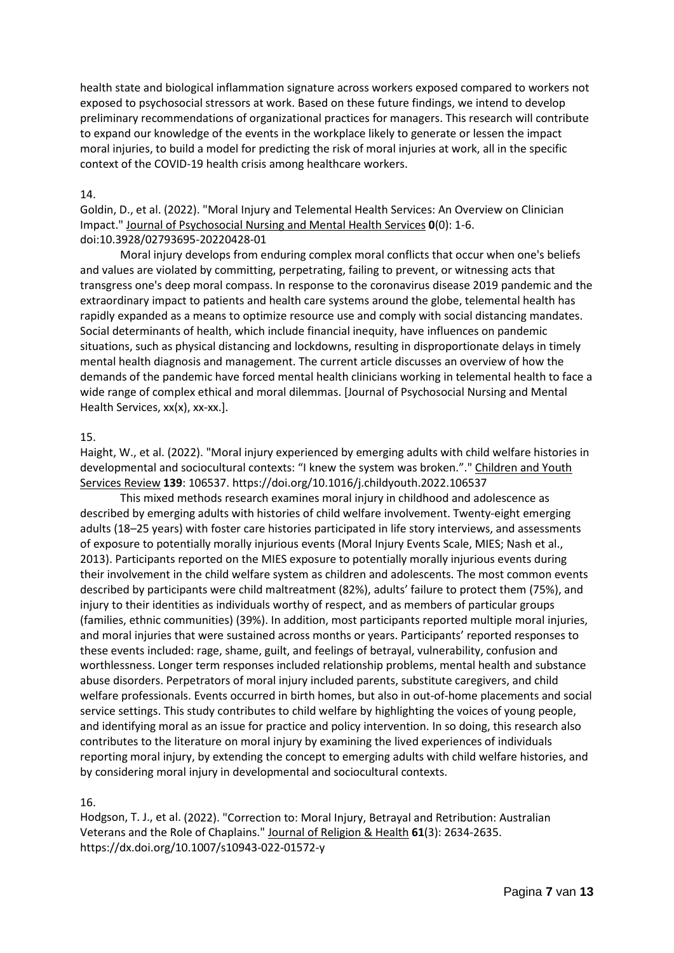health state and biological inflammation signature across workers exposed compared to workers not exposed to psychosocial stressors at work. Based on these future findings, we intend to develop preliminary recommendations of organizational practices for managers. This research will contribute to expand our knowledge of the events in the workplace likely to generate or lessen the impact moral injuries, to build a model for predicting the risk of moral injuries at work, all in the specific context of the COVID-19 health crisis among healthcare workers.

#### 14.

Goldin, D., et al. (2022). "Moral Injury and Telemental Health Services: An Overview on Clinician Impact." Journal of Psychosocial Nursing and Mental Health Services **0**(0): 1-6. doi:10.3928/02793695-20220428-01

Moral injury develops from enduring complex moral conflicts that occur when one's beliefs and values are violated by committing, perpetrating, failing to prevent, or witnessing acts that transgress one's deep moral compass. In response to the coronavirus disease 2019 pandemic and the extraordinary impact to patients and health care systems around the globe, telemental health has rapidly expanded as a means to optimize resource use and comply with social distancing mandates. Social determinants of health, which include financial inequity, have influences on pandemic situations, such as physical distancing and lockdowns, resulting in disproportionate delays in timely mental health diagnosis and management. The current article discusses an overview of how the demands of the pandemic have forced mental health clinicians working in telemental health to face a wide range of complex ethical and moral dilemmas. [Journal of Psychosocial Nursing and Mental Health Services, xx(x), xx-xx.].

## 15.

Haight, W., et al. (2022). "Moral injury experienced by emerging adults with child welfare histories in developmental and sociocultural contexts: "I knew the system was broken."." Children and Youth Services Review **139**: 106537. https://doi.org/10.1016/j.childyouth.2022.106537

This mixed methods research examines moral injury in childhood and adolescence as described by emerging adults with histories of child welfare involvement. Twenty-eight emerging adults (18–25 years) with foster care histories participated in life story interviews, and assessments of exposure to potentially morally injurious events (Moral Injury Events Scale, MIES; Nash et al., 2013). Participants reported on the MIES exposure to potentially morally injurious events during their involvement in the child welfare system as children and adolescents. The most common events described by participants were child maltreatment (82%), adults' failure to protect them (75%), and injury to their identities as individuals worthy of respect, and as members of particular groups (families, ethnic communities) (39%). In addition, most participants reported multiple moral injuries, and moral injuries that were sustained across months or years. Participants' reported responses to these events included: rage, shame, guilt, and feelings of betrayal, vulnerability, confusion and worthlessness. Longer term responses included relationship problems, mental health and substance abuse disorders. Perpetrators of moral injury included parents, substitute caregivers, and child welfare professionals. Events occurred in birth homes, but also in out-of-home placements and social service settings. This study contributes to child welfare by highlighting the voices of young people, and identifying moral as an issue for practice and policy intervention. In so doing, this research also contributes to the literature on moral injury by examining the lived experiences of individuals reporting moral injury, by extending the concept to emerging adults with child welfare histories, and by considering moral injury in developmental and sociocultural contexts.

#### 16.

Hodgson, T. J., et al. (2022). "Correction to: Moral Injury, Betrayal and Retribution: Australian Veterans and the Role of Chaplains." Journal of Religion & Health **61**(3): 2634-2635. https://dx.doi.org/10.1007/s10943-022-01572-y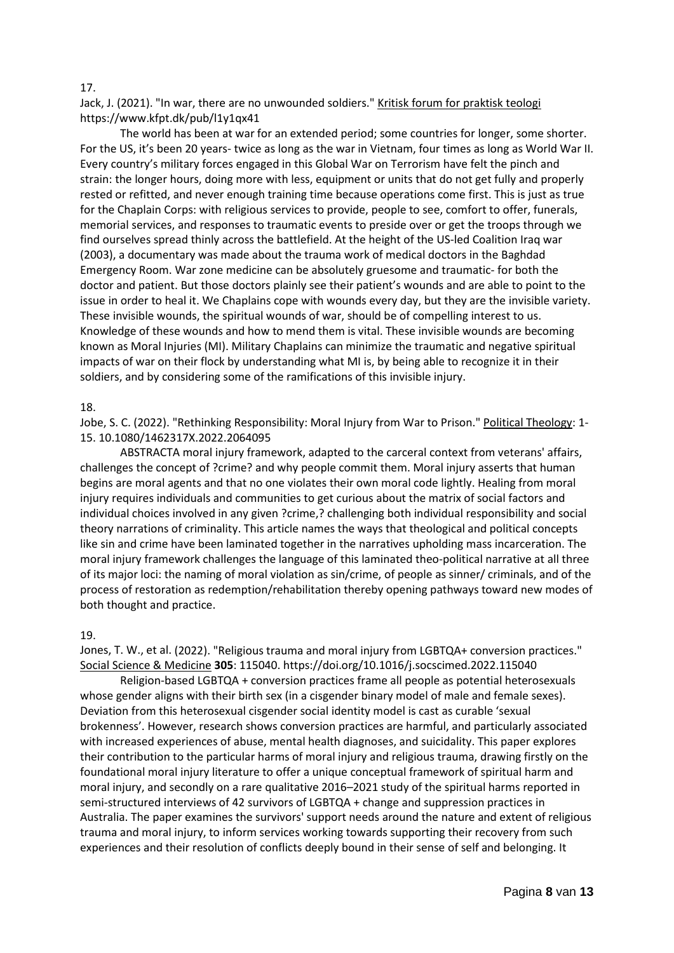#### 17.

Jack, J. (2021). "In war, there are no unwounded soldiers." Kritisk forum for praktisk teologi https://www.kfpt.dk/pub/l1y1qx41

The world has been at war for an extended period; some countries for longer, some shorter. For the US, it's been 20 years- twice as long as the war in Vietnam, four times as long as World War II. Every country's military forces engaged in this Global War on Terrorism have felt the pinch and strain: the longer hours, doing more with less, equipment or units that do not get fully and properly rested or refitted, and never enough training time because operations come first. This is just as true for the Chaplain Corps: with religious services to provide, people to see, comfort to offer, funerals, memorial services, and responses to traumatic events to preside over or get the troops through we find ourselves spread thinly across the battlefield. At the height of the US-led Coalition Iraq war (2003), a documentary was made about the trauma work of medical doctors in the Baghdad Emergency Room. War zone medicine can be absolutely gruesome and traumatic- for both the doctor and patient. But those doctors plainly see their patient's wounds and are able to point to the issue in order to heal it. We Chaplains cope with wounds every day, but they are the invisible variety. These invisible wounds, the spiritual wounds of war, should be of compelling interest to us. Knowledge of these wounds and how to mend them is vital. These invisible wounds are becoming known as Moral Injuries (MI). Military Chaplains can minimize the traumatic and negative spiritual impacts of war on their flock by understanding what MI is, by being able to recognize it in their soldiers, and by considering some of the ramifications of this invisible injury.

#### 18.

Jobe, S. C. (2022). "Rethinking Responsibility: Moral Injury from War to Prison." Political Theology: 1- 15. 10.1080/1462317X.2022.2064095

ABSTRACTA moral injury framework, adapted to the carceral context from veterans' affairs, challenges the concept of ?crime? and why people commit them. Moral injury asserts that human begins are moral agents and that no one violates their own moral code lightly. Healing from moral injury requires individuals and communities to get curious about the matrix of social factors and individual choices involved in any given ?crime,? challenging both individual responsibility and social theory narrations of criminality. This article names the ways that theological and political concepts like sin and crime have been laminated together in the narratives upholding mass incarceration. The moral injury framework challenges the language of this laminated theo-political narrative at all three of its major loci: the naming of moral violation as sin/crime, of people as sinner/ criminals, and of the process of restoration as redemption/rehabilitation thereby opening pathways toward new modes of both thought and practice.

#### 19.

Jones, T. W., et al. (2022). "Religious trauma and moral injury from LGBTQA+ conversion practices." Social Science & Medicine **305**: 115040. https://doi.org/10.1016/j.socscimed.2022.115040

Religion-based LGBTQA + conversion practices frame all people as potential heterosexuals whose gender aligns with their birth sex (in a cisgender binary model of male and female sexes). Deviation from this heterosexual cisgender social identity model is cast as curable 'sexual brokenness'. However, research shows conversion practices are harmful, and particularly associated with increased experiences of abuse, mental health diagnoses, and suicidality. This paper explores their contribution to the particular harms of moral injury and religious trauma, drawing firstly on the foundational moral injury literature to offer a unique conceptual framework of spiritual harm and moral injury, and secondly on a rare qualitative 2016–2021 study of the spiritual harms reported in semi-structured interviews of 42 survivors of LGBTQA + change and suppression practices in Australia. The paper examines the survivors' support needs around the nature and extent of religious trauma and moral injury, to inform services working towards supporting their recovery from such experiences and their resolution of conflicts deeply bound in their sense of self and belonging. It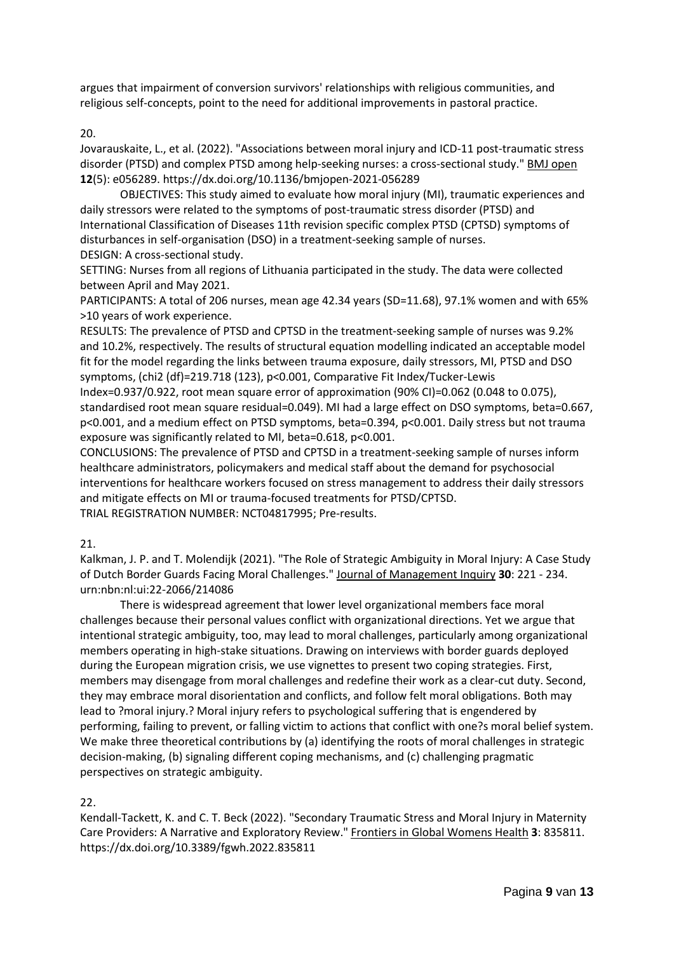argues that impairment of conversion survivors' relationships with religious communities, and religious self-concepts, point to the need for additional improvements in pastoral practice.

#### 20.

Jovarauskaite, L., et al. (2022). "Associations between moral injury and ICD-11 post-traumatic stress disorder (PTSD) and complex PTSD among help-seeking nurses: a cross-sectional study." BMJ open **12**(5): e056289. https://dx.doi.org/10.1136/bmjopen-2021-056289

OBJECTIVES: This study aimed to evaluate how moral injury (MI), traumatic experiences and daily stressors were related to the symptoms of post-traumatic stress disorder (PTSD) and International Classification of Diseases 11th revision specific complex PTSD (CPTSD) symptoms of disturbances in self-organisation (DSO) in a treatment-seeking sample of nurses. DESIGN: A cross-sectional study.

SETTING: Nurses from all regions of Lithuania participated in the study. The data were collected between April and May 2021.

PARTICIPANTS: A total of 206 nurses, mean age 42.34 years (SD=11.68), 97.1% women and with 65% >10 years of work experience.

RESULTS: The prevalence of PTSD and CPTSD in the treatment-seeking sample of nurses was 9.2% and 10.2%, respectively. The results of structural equation modelling indicated an acceptable model fit for the model regarding the links between trauma exposure, daily stressors, MI, PTSD and DSO symptoms, (chi2 (df)=219.718 (123), p<0.001, Comparative Fit Index/Tucker-Lewis

Index=0.937/0.922, root mean square error of approximation (90% CI)=0.062 (0.048 to 0.075), standardised root mean square residual=0.049). MI had a large effect on DSO symptoms, beta=0.667, p<0.001, and a medium effect on PTSD symptoms, beta=0.394, p<0.001. Daily stress but not trauma exposure was significantly related to MI, beta=0.618, p<0.001.

CONCLUSIONS: The prevalence of PTSD and CPTSD in a treatment-seeking sample of nurses inform healthcare administrators, policymakers and medical staff about the demand for psychosocial interventions for healthcare workers focused on stress management to address their daily stressors and mitigate effects on MI or trauma-focused treatments for PTSD/CPTSD.

TRIAL REGISTRATION NUMBER: NCT04817995; Pre-results.

21.

Kalkman, J. P. and T. Molendijk (2021). "The Role of Strategic Ambiguity in Moral Injury: A Case Study of Dutch Border Guards Facing Moral Challenges." Journal of Management Inquiry **30**: 221 - 234. urn:nbn:nl:ui:22-2066/214086

There is widespread agreement that lower level organizational members face moral challenges because their personal values conflict with organizational directions. Yet we argue that intentional strategic ambiguity, too, may lead to moral challenges, particularly among organizational members operating in high-stake situations. Drawing on interviews with border guards deployed during the European migration crisis, we use vignettes to present two coping strategies. First, members may disengage from moral challenges and redefine their work as a clear-cut duty. Second, they may embrace moral disorientation and conflicts, and follow felt moral obligations. Both may lead to ?moral injury.? Moral injury refers to psychological suffering that is engendered by performing, failing to prevent, or falling victim to actions that conflict with one?s moral belief system. We make three theoretical contributions by (a) identifying the roots of moral challenges in strategic decision-making, (b) signaling different coping mechanisms, and (c) challenging pragmatic perspectives on strategic ambiguity.

22.

Kendall-Tackett, K. and C. T. Beck (2022). "Secondary Traumatic Stress and Moral Injury in Maternity Care Providers: A Narrative and Exploratory Review." Frontiers in Global Womens Health **3**: 835811. https://dx.doi.org/10.3389/fgwh.2022.835811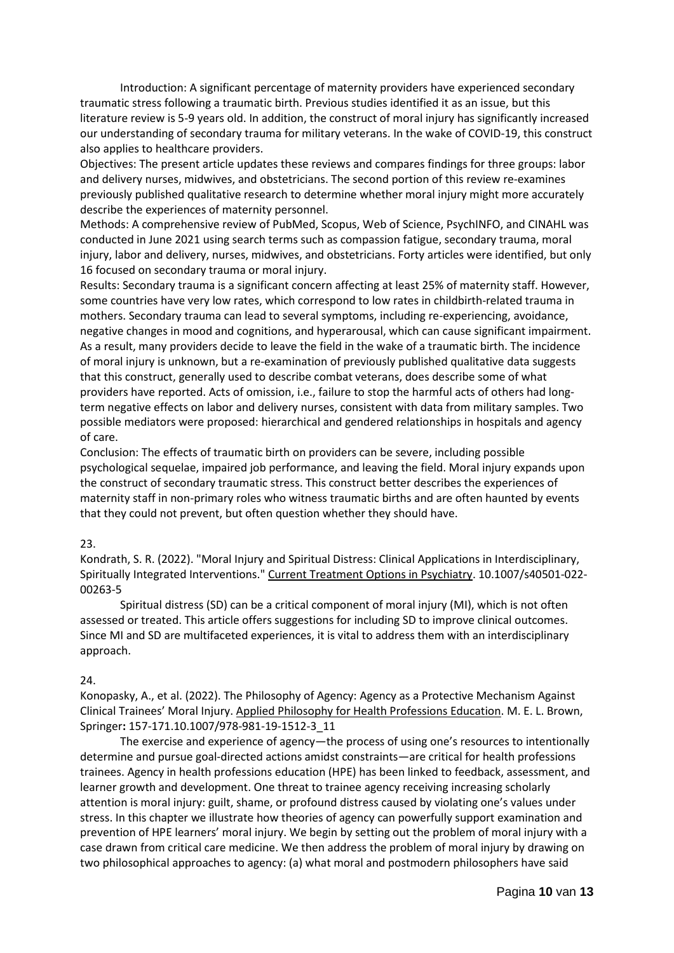Introduction: A significant percentage of maternity providers have experienced secondary traumatic stress following a traumatic birth. Previous studies identified it as an issue, but this literature review is 5-9 years old. In addition, the construct of moral injury has significantly increased our understanding of secondary trauma for military veterans. In the wake of COVID-19, this construct also applies to healthcare providers.

Objectives: The present article updates these reviews and compares findings for three groups: labor and delivery nurses, midwives, and obstetricians. The second portion of this review re-examines previously published qualitative research to determine whether moral injury might more accurately describe the experiences of maternity personnel.

Methods: A comprehensive review of PubMed, Scopus, Web of Science, PsychINFO, and CINAHL was conducted in June 2021 using search terms such as compassion fatigue, secondary trauma, moral injury, labor and delivery, nurses, midwives, and obstetricians. Forty articles were identified, but only 16 focused on secondary trauma or moral injury.

Results: Secondary trauma is a significant concern affecting at least 25% of maternity staff. However, some countries have very low rates, which correspond to low rates in childbirth-related trauma in mothers. Secondary trauma can lead to several symptoms, including re-experiencing, avoidance, negative changes in mood and cognitions, and hyperarousal, which can cause significant impairment. As a result, many providers decide to leave the field in the wake of a traumatic birth. The incidence of moral injury is unknown, but a re-examination of previously published qualitative data suggests that this construct, generally used to describe combat veterans, does describe some of what providers have reported. Acts of omission, i.e., failure to stop the harmful acts of others had longterm negative effects on labor and delivery nurses, consistent with data from military samples. Two possible mediators were proposed: hierarchical and gendered relationships in hospitals and agency of care.

Conclusion: The effects of traumatic birth on providers can be severe, including possible psychological sequelae, impaired job performance, and leaving the field. Moral injury expands upon the construct of secondary traumatic stress. This construct better describes the experiences of maternity staff in non-primary roles who witness traumatic births and are often haunted by events that they could not prevent, but often question whether they should have.

#### 23.

Kondrath, S. R. (2022). "Moral Injury and Spiritual Distress: Clinical Applications in Interdisciplinary, Spiritually Integrated Interventions." Current Treatment Options in Psychiatry. 10.1007/s40501-022-00263-5

Spiritual distress (SD) can be a critical component of moral injury (MI), which is not often assessed or treated. This article offers suggestions for including SD to improve clinical outcomes. Since MI and SD are multifaceted experiences, it is vital to address them with an interdisciplinary approach.

#### 24.

Konopasky, A., et al. (2022). The Philosophy of Agency: Agency as a Protective Mechanism Against Clinical Trainees' Moral Injury. Applied Philosophy for Health Professions Education. M. E. L. Brown, Springer**:** 157-171.10.1007/978-981-19-1512-3\_11

The exercise and experience of agency—the process of using one's resources to intentionally determine and pursue goal-directed actions amidst constraints—are critical for health professions trainees. Agency in health professions education (HPE) has been linked to feedback, assessment, and learner growth and development. One threat to trainee agency receiving increasing scholarly attention is moral injury: guilt, shame, or profound distress caused by violating one's values under stress. In this chapter we illustrate how theories of agency can powerfully support examination and prevention of HPE learners' moral injury. We begin by setting out the problem of moral injury with a case drawn from critical care medicine. We then address the problem of moral injury by drawing on two philosophical approaches to agency: (a) what moral and postmodern philosophers have said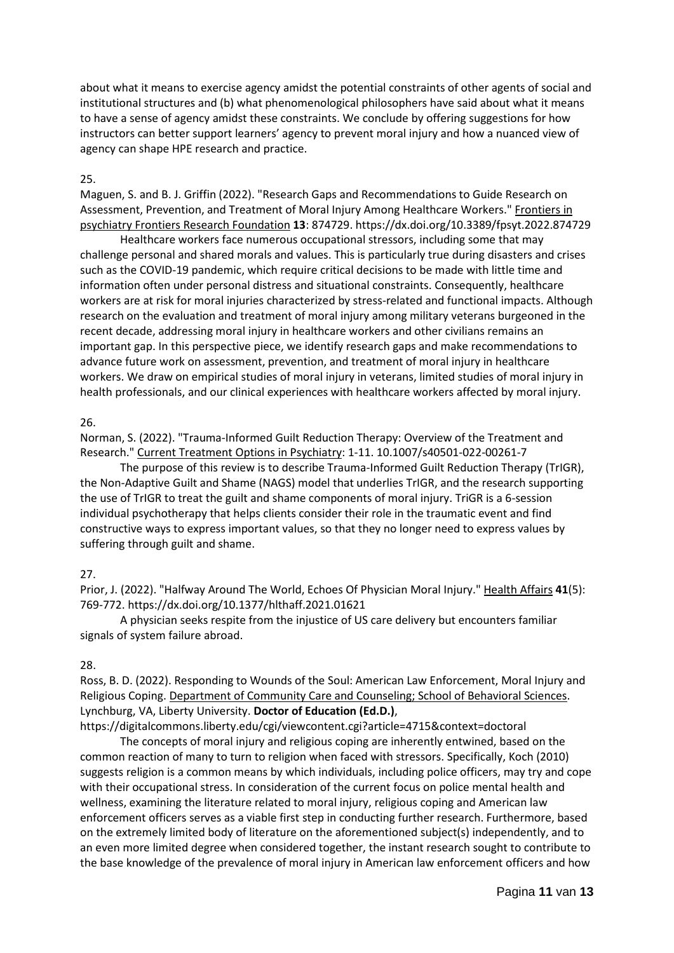about what it means to exercise agency amidst the potential constraints of other agents of social and institutional structures and (b) what phenomenological philosophers have said about what it means to have a sense of agency amidst these constraints. We conclude by offering suggestions for how instructors can better support learners' agency to prevent moral injury and how a nuanced view of agency can shape HPE research and practice.

#### 25.

Maguen, S. and B. J. Griffin (2022). "Research Gaps and Recommendations to Guide Research on Assessment, Prevention, and Treatment of Moral Injury Among Healthcare Workers." Frontiers in psychiatry Frontiers Research Foundation **13**: 874729. https://dx.doi.org/10.3389/fpsyt.2022.874729

Healthcare workers face numerous occupational stressors, including some that may challenge personal and shared morals and values. This is particularly true during disasters and crises such as the COVID-19 pandemic, which require critical decisions to be made with little time and information often under personal distress and situational constraints. Consequently, healthcare workers are at risk for moral injuries characterized by stress-related and functional impacts. Although research on the evaluation and treatment of moral injury among military veterans burgeoned in the recent decade, addressing moral injury in healthcare workers and other civilians remains an important gap. In this perspective piece, we identify research gaps and make recommendations to advance future work on assessment, prevention, and treatment of moral injury in healthcare workers. We draw on empirical studies of moral injury in veterans, limited studies of moral injury in health professionals, and our clinical experiences with healthcare workers affected by moral injury.

#### 26.

Norman, S. (2022). "Trauma-Informed Guilt Reduction Therapy: Overview of the Treatment and Research." Current Treatment Options in Psychiatry: 1-11. 10.1007/s40501-022-00261-7

The purpose of this review is to describe Trauma-Informed Guilt Reduction Therapy (TrIGR), the Non-Adaptive Guilt and Shame (NAGS) model that underlies TrIGR, and the research supporting the use of TrIGR to treat the guilt and shame components of moral injury. TriGR is a 6-session individual psychotherapy that helps clients consider their role in the traumatic event and find constructive ways to express important values, so that they no longer need to express values by suffering through guilt and shame.

#### 27.

Prior, J. (2022). "Halfway Around The World, Echoes Of Physician Moral Injury." Health Affairs **41**(5): 769-772. https://dx.doi.org/10.1377/hlthaff.2021.01621

A physician seeks respite from the injustice of US care delivery but encounters familiar signals of system failure abroad.

#### 28.

Ross, B. D. (2022). Responding to Wounds of the Soul: American Law Enforcement, Moral Injury and Religious Coping. Department of Community Care and Counseling; School of Behavioral Sciences. Lynchburg, VA, Liberty University. **Doctor of Education (Ed.D.)**,

https://digitalcommons.liberty.edu/cgi/viewcontent.cgi?article=4715&context=doctoral

The concepts of moral injury and religious coping are inherently entwined, based on the common reaction of many to turn to religion when faced with stressors. Specifically, Koch (2010) suggests religion is a common means by which individuals, including police officers, may try and cope with their occupational stress. In consideration of the current focus on police mental health and wellness, examining the literature related to moral injury, religious coping and American law enforcement officers serves as a viable first step in conducting further research. Furthermore, based on the extremely limited body of literature on the aforementioned subject(s) independently, and to an even more limited degree when considered together, the instant research sought to contribute to the base knowledge of the prevalence of moral injury in American law enforcement officers and how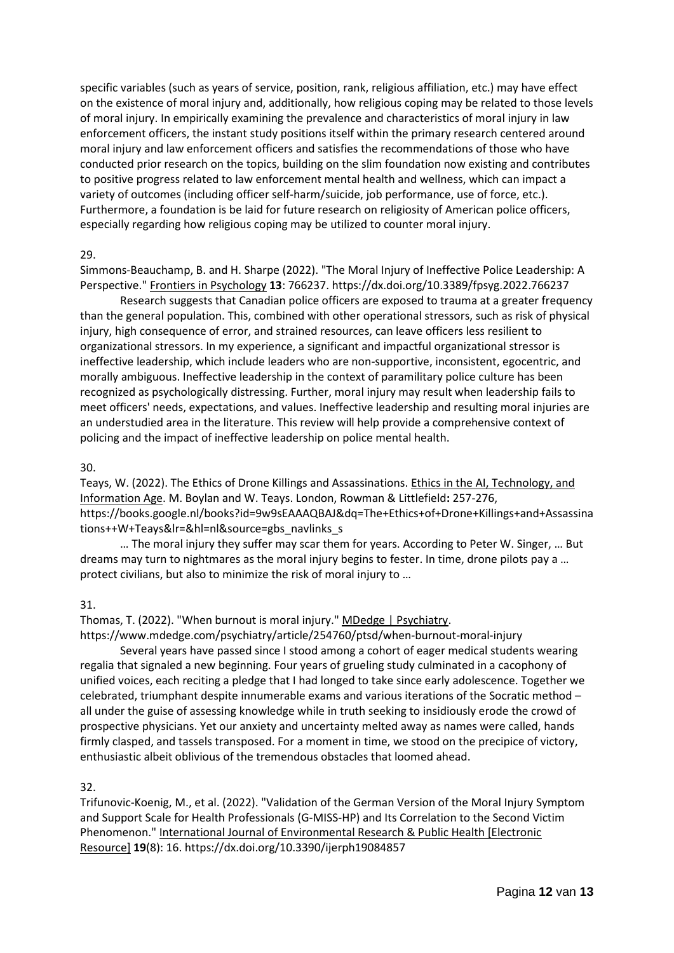specific variables (such as years of service, position, rank, religious affiliation, etc.) may have effect on the existence of moral injury and, additionally, how religious coping may be related to those levels of moral injury. In empirically examining the prevalence and characteristics of moral injury in law enforcement officers, the instant study positions itself within the primary research centered around moral injury and law enforcement officers and satisfies the recommendations of those who have conducted prior research on the topics, building on the slim foundation now existing and contributes to positive progress related to law enforcement mental health and wellness, which can impact a variety of outcomes (including officer self-harm/suicide, job performance, use of force, etc.). Furthermore, a foundation is be laid for future research on religiosity of American police officers, especially regarding how religious coping may be utilized to counter moral injury.

#### 29.

Simmons-Beauchamp, B. and H. Sharpe (2022). "The Moral Injury of Ineffective Police Leadership: A Perspective." Frontiers in Psychology **13**: 766237. https://dx.doi.org/10.3389/fpsyg.2022.766237

Research suggests that Canadian police officers are exposed to trauma at a greater frequency than the general population. This, combined with other operational stressors, such as risk of physical injury, high consequence of error, and strained resources, can leave officers less resilient to organizational stressors. In my experience, a significant and impactful organizational stressor is ineffective leadership, which include leaders who are non-supportive, inconsistent, egocentric, and morally ambiguous. Ineffective leadership in the context of paramilitary police culture has been recognized as psychologically distressing. Further, moral injury may result when leadership fails to meet officers' needs, expectations, and values. Ineffective leadership and resulting moral injuries are an understudied area in the literature. This review will help provide a comprehensive context of policing and the impact of ineffective leadership on police mental health.

## 30.

Teays, W. (2022). The Ethics of Drone Killings and Assassinations. Ethics in the AI, Technology, and Information Age. M. Boylan and W. Teays. London, Rowman & Littlefield**:** 257-276, https://books.google.nl/books?id=9w9sEAAAQBAJ&dq=The+Ethics+of+Drone+Killings+and+Assassina tions++W+Teays&lr=&hl=nl&source=gbs\_navlinks\_s

… The moral injury they suffer may scar them for years. According to Peter W. Singer, … But dreams may turn to nightmares as the moral injury begins to fester. In time, drone pilots pay a … protect civilians, but also to minimize the risk of moral injury to …

#### 31.

Thomas, T. (2022). "When burnout is moral injury." MDedge | Psychiatry.

https://www.mdedge.com/psychiatry/article/254760/ptsd/when-burnout-moral-injury

Several years have passed since I stood among a cohort of eager medical students wearing regalia that signaled a new beginning. Four years of grueling study culminated in a cacophony of unified voices, each reciting a pledge that I had longed to take since early adolescence. Together we celebrated, triumphant despite innumerable exams and various iterations of the Socratic method – all under the guise of assessing knowledge while in truth seeking to insidiously erode the crowd of prospective physicians. Yet our anxiety and uncertainty melted away as names were called, hands firmly clasped, and tassels transposed. For a moment in time, we stood on the precipice of victory, enthusiastic albeit oblivious of the tremendous obstacles that loomed ahead.

# 32.

Trifunovic-Koenig, M., et al. (2022). "Validation of the German Version of the Moral Injury Symptom and Support Scale for Health Professionals (G-MISS-HP) and Its Correlation to the Second Victim Phenomenon." International Journal of Environmental Research & Public Health [Electronic Resource] **19**(8): 16. https://dx.doi.org/10.3390/ijerph19084857